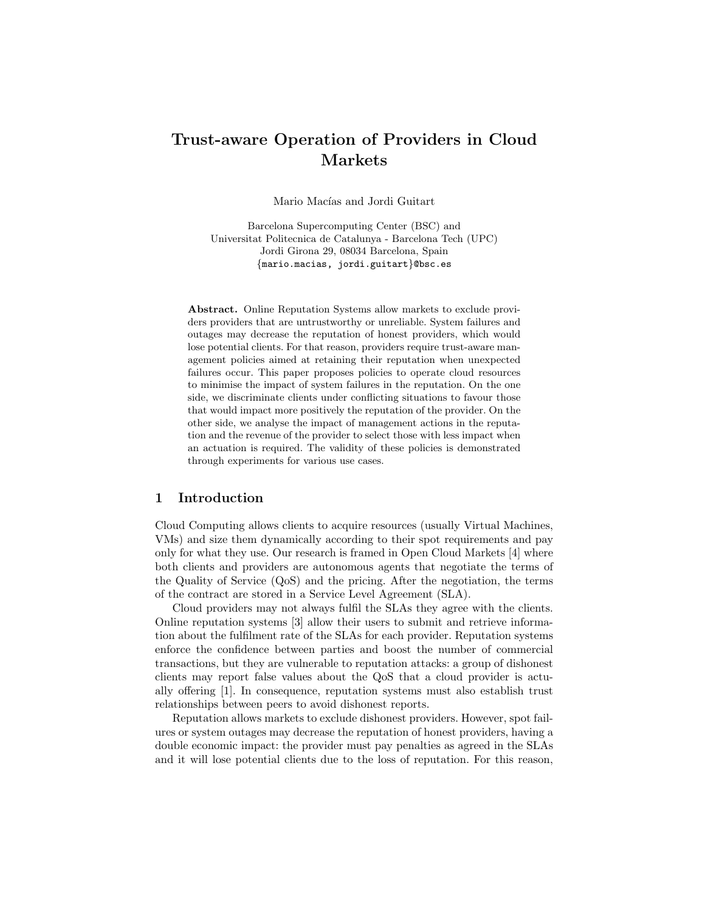# Trust-aware Operation of Providers in Cloud Markets

Mario Macías and Jordi Guitart

Barcelona Supercomputing Center (BSC) and Universitat Politecnica de Catalunya - Barcelona Tech (UPC) Jordi Girona 29, 08034 Barcelona, Spain {mario.macias, jordi.guitart}@bsc.es

Abstract. Online Reputation Systems allow markets to exclude providers providers that are untrustworthy or unreliable. System failures and outages may decrease the reputation of honest providers, which would lose potential clients. For that reason, providers require trust-aware management policies aimed at retaining their reputation when unexpected failures occur. This paper proposes policies to operate cloud resources to minimise the impact of system failures in the reputation. On the one side, we discriminate clients under conflicting situations to favour those that would impact more positively the reputation of the provider. On the other side, we analyse the impact of management actions in the reputation and the revenue of the provider to select those with less impact when an actuation is required. The validity of these policies is demonstrated through experiments for various use cases.

#### 1 Introduction

Cloud Computing allows clients to acquire resources (usually Virtual Machines, VMs) and size them dynamically according to their spot requirements and pay only for what they use. Our research is framed in Open Cloud Markets [4] where both clients and providers are autonomous agents that negotiate the terms of the Quality of Service (QoS) and the pricing. After the negotiation, the terms of the contract are stored in a Service Level Agreement (SLA).

Cloud providers may not always fulfil the SLAs they agree with the clients. Online reputation systems [3] allow their users to submit and retrieve information about the fulfilment rate of the SLAs for each provider. Reputation systems enforce the confidence between parties and boost the number of commercial transactions, but they are vulnerable to reputation attacks: a group of dishonest clients may report false values about the QoS that a cloud provider is actually offering [1]. In consequence, reputation systems must also establish trust relationships between peers to avoid dishonest reports.

Reputation allows markets to exclude dishonest providers. However, spot failures or system outages may decrease the reputation of honest providers, having a double economic impact: the provider must pay penalties as agreed in the SLAs and it will lose potential clients due to the loss of reputation. For this reason,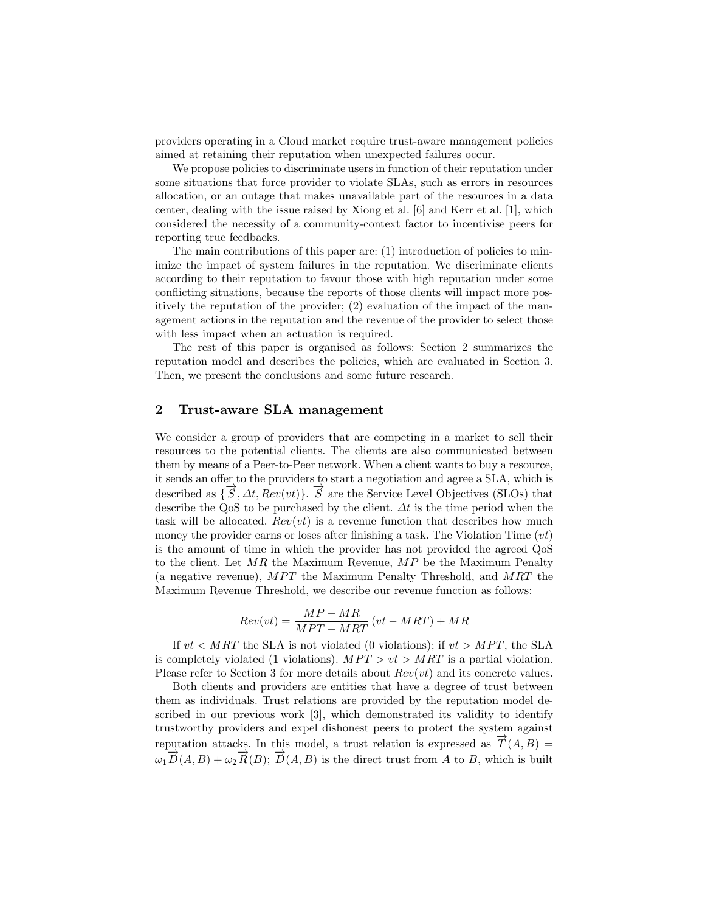providers operating in a Cloud market require trust-aware management policies aimed at retaining their reputation when unexpected failures occur.

We propose policies to discriminate users in function of their reputation under some situations that force provider to violate SLAs, such as errors in resources allocation, or an outage that makes unavailable part of the resources in a data center, dealing with the issue raised by Xiong et al. [6] and Kerr et al. [1], which considered the necessity of a community-context factor to incentivise peers for reporting true feedbacks.

The main contributions of this paper are: (1) introduction of policies to minimize the impact of system failures in the reputation. We discriminate clients according to their reputation to favour those with high reputation under some conflicting situations, because the reports of those clients will impact more positively the reputation of the provider; (2) evaluation of the impact of the management actions in the reputation and the revenue of the provider to select those with less impact when an actuation is required.

The rest of this paper is organised as follows: Section 2 summarizes the reputation model and describes the policies, which are evaluated in Section 3. Then, we present the conclusions and some future research.

## 2 Trust-aware SLA management

We consider a group of providers that are competing in a market to sell their resources to the potential clients. The clients are also communicated between them by means of a Peer-to-Peer network. When a client wants to buy a resource, it sends an offer to the providers to start a negotiation and agree a SLA, which is described as  $\{\overrightarrow{S}, \Delta t, Rev(vt)\}\$ .  $\overrightarrow{S}$  are the Service Level Objectives (SLOs) that describe the QoS to be purchased by the client.  $\Delta t$  is the time period when the task will be allocated.  $Rev(vt)$  is a revenue function that describes how much money the provider earns or loses after finishing a task. The Violation Time  $(vt)$ is the amount of time in which the provider has not provided the agreed QoS to the client. Let  $MR$  the Maximum Revenue,  $MP$  be the Maximum Penalty (a negative revenue),  $MPT$  the Maximum Penalty Threshold, and  $MRT$  the Maximum Revenue Threshold, we describe our revenue function as follows:

$$
Rev(vt) = \frac{MP - MR}{MPT - MRT} (vt - MRT) + MR
$$

If  $vt < MRT$  the SLA is not violated (0 violations); if  $vt > MPT$ , the SLA is completely violated (1 violations).  $MPT > vt > MRT$  is a partial violation. Please refer to Section 3 for more details about  $Rev(vt)$  and its concrete values.

Both clients and providers are entities that have a degree of trust between them as individuals. Trust relations are provided by the reputation model described in our previous work [3], which demonstrated its validity to identify trustworthy providers and expel dishonest peers to protect the system against reputation attacks. In this model, a trust relation is expressed as  $\vec{T}(A, B) =$  $\omega_1 \overrightarrow{D}(A,B) + \omega_2 \overrightarrow{R}(B)$ ;  $\overrightarrow{D}(A,B)$  is the direct trust from A to B, which is built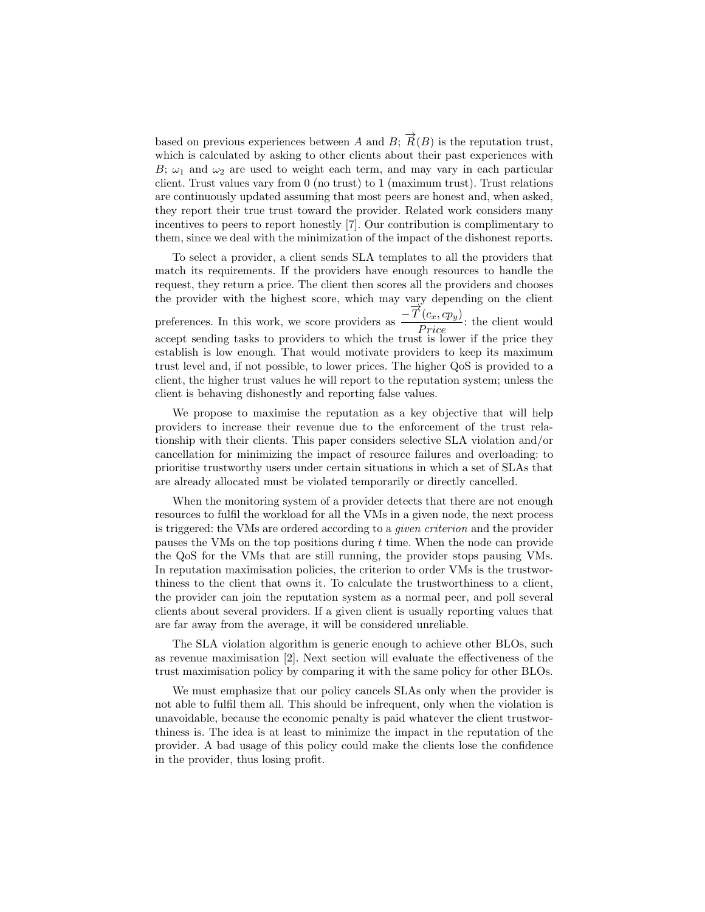based on previous experiences between A and B;  $\overrightarrow{R}(B)$  is the reputation trust, which is calculated by asking to other clients about their past experiences with B;  $\omega_1$  and  $\omega_2$  are used to weight each term, and may vary in each particular client. Trust values vary from 0 (no trust) to 1 (maximum trust). Trust relations are continuously updated assuming that most peers are honest and, when asked, they report their true trust toward the provider. Related work considers many incentives to peers to report honestly [7]. Our contribution is complimentary to them, since we deal with the minimization of the impact of the dishonest reports.

To select a provider, a client sends SLA templates to all the providers that match its requirements. If the providers have enough resources to handle the request, they return a price. The client then scores all the providers and chooses the provider with the highest score, which may vary depending on the client preferences. In this work, we score providers as  $-\frac{\overrightarrow{T}(c_x, cp_y)}{D}$  $\frac{(c_x, c_p y)}{Price}$ : the client would accept sending tasks to providers to which the trust is lower if the price they establish is low enough. That would motivate providers to keep its maximum trust level and, if not possible, to lower prices. The higher QoS is provided to a client, the higher trust values he will report to the reputation system; unless the client is behaving dishonestly and reporting false values.

We propose to maximise the reputation as a key objective that will help providers to increase their revenue due to the enforcement of the trust relationship with their clients. This paper considers selective SLA violation and/or cancellation for minimizing the impact of resource failures and overloading: to prioritise trustworthy users under certain situations in which a set of SLAs that are already allocated must be violated temporarily or directly cancelled.

When the monitoring system of a provider detects that there are not enough resources to fulfil the workload for all the VMs in a given node, the next process is triggered: the VMs are ordered according to a given criterion and the provider pauses the VMs on the top positions during  $t$  time. When the node can provide the QoS for the VMs that are still running, the provider stops pausing VMs. In reputation maximisation policies, the criterion to order VMs is the trustworthiness to the client that owns it. To calculate the trustworthiness to a client, the provider can join the reputation system as a normal peer, and poll several clients about several providers. If a given client is usually reporting values that are far away from the average, it will be considered unreliable.

The SLA violation algorithm is generic enough to achieve other BLOs, such as revenue maximisation [2]. Next section will evaluate the effectiveness of the trust maximisation policy by comparing it with the same policy for other BLOs.

We must emphasize that our policy cancels SLAs only when the provider is not able to fulfil them all. This should be infrequent, only when the violation is unavoidable, because the economic penalty is paid whatever the client trustworthiness is. The idea is at least to minimize the impact in the reputation of the provider. A bad usage of this policy could make the clients lose the confidence in the provider, thus losing profit.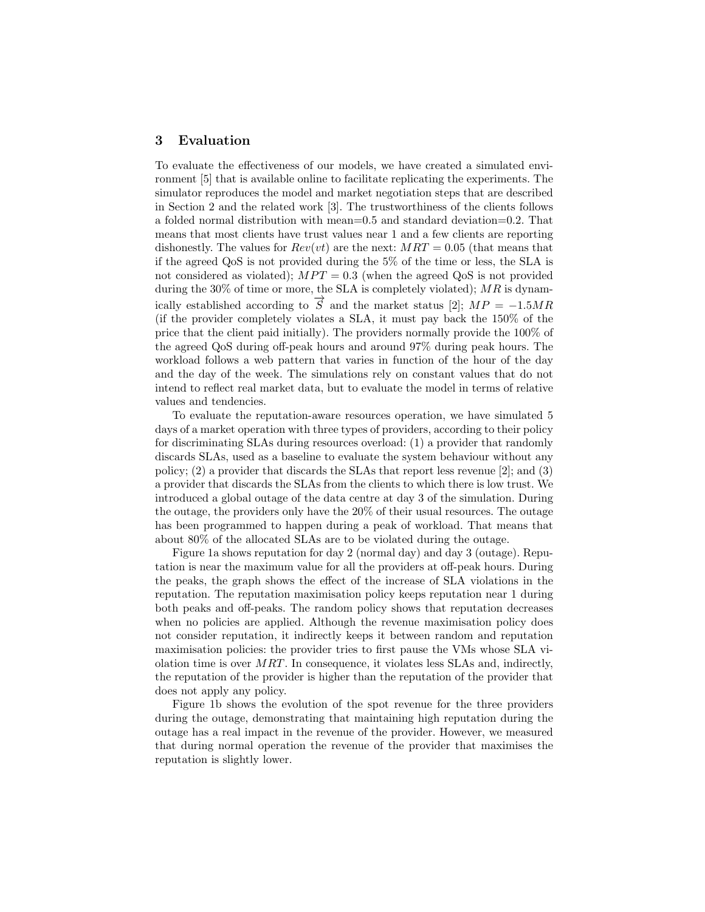#### 3 Evaluation

To evaluate the effectiveness of our models, we have created a simulated environment [5] that is available online to facilitate replicating the experiments. The simulator reproduces the model and market negotiation steps that are described in Section 2 and the related work [3]. The trustworthiness of the clients follows a folded normal distribution with mean=0.5 and standard deviation=0.2. That means that most clients have trust values near 1 and a few clients are reporting dishonestly. The values for  $Rev(vt)$  are the next:  $MRT = 0.05$  (that means that if the agreed QoS is not provided during the 5% of the time or less, the SLA is not considered as violated);  $MPT = 0.3$  (when the agreed QoS is not provided during the  $30\%$  of time or more, the SLA is completely violated); MR is dynamically established according to  $\overrightarrow{S}$  and the market status [2];  $MP = -1.5MR$ (if the provider completely violates a SLA, it must pay back the 150% of the price that the client paid initially). The providers normally provide the 100% of the agreed QoS during off-peak hours and around 97% during peak hours. The workload follows a web pattern that varies in function of the hour of the day and the day of the week. The simulations rely on constant values that do not intend to reflect real market data, but to evaluate the model in terms of relative values and tendencies.

To evaluate the reputation-aware resources operation, we have simulated 5 days of a market operation with three types of providers, according to their policy for discriminating SLAs during resources overload: (1) a provider that randomly discards SLAs, used as a baseline to evaluate the system behaviour without any policy;  $(2)$  a provider that discards the SLAs that report less revenue  $[2]$ ; and  $(3)$ a provider that discards the SLAs from the clients to which there is low trust. We introduced a global outage of the data centre at day 3 of the simulation. During the outage, the providers only have the 20% of their usual resources. The outage has been programmed to happen during a peak of workload. That means that about 80% of the allocated SLAs are to be violated during the outage.

Figure 1a shows reputation for day 2 (normal day) and day 3 (outage). Reputation is near the maximum value for all the providers at off-peak hours. During the peaks, the graph shows the effect of the increase of SLA violations in the reputation. The reputation maximisation policy keeps reputation near 1 during both peaks and off-peaks. The random policy shows that reputation decreases when no policies are applied. Although the revenue maximisation policy does not consider reputation, it indirectly keeps it between random and reputation maximisation policies: the provider tries to first pause the VMs whose SLA violation time is over  $MRT$ . In consequence, it violates less SLAs and, indirectly, the reputation of the provider is higher than the reputation of the provider that does not apply any policy.

Figure 1b shows the evolution of the spot revenue for the three providers during the outage, demonstrating that maintaining high reputation during the outage has a real impact in the revenue of the provider. However, we measured that during normal operation the revenue of the provider that maximises the reputation is slightly lower.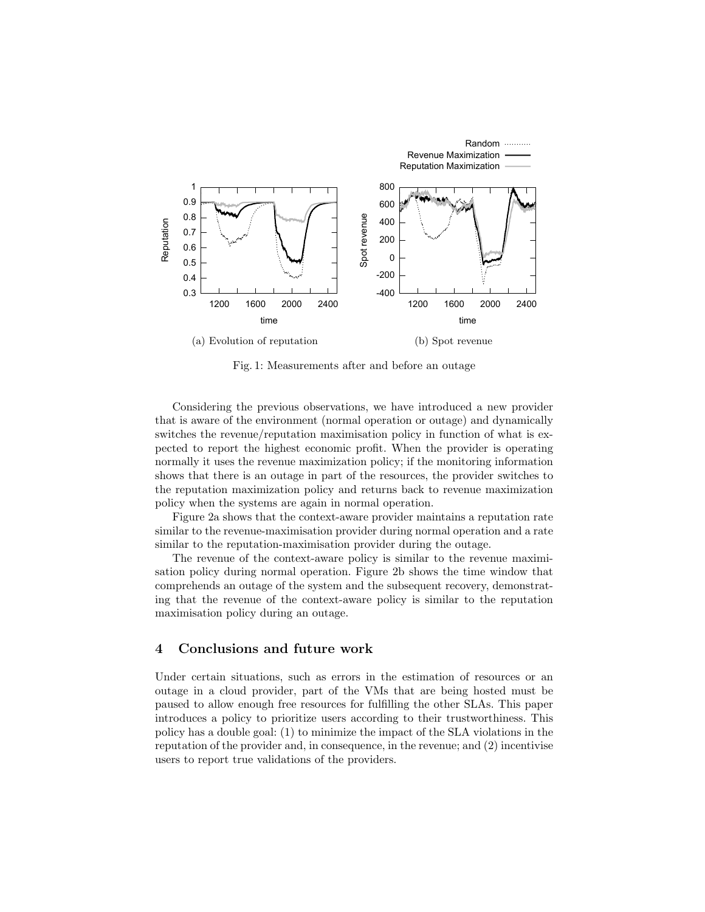

Fig. 1: Measurements after and before an outage

Considering the previous observations, we have introduced a new provider that is aware of the environment (normal operation or outage) and dynamically switches the revenue/reputation maximisation policy in function of what is expected to report the highest economic profit. When the provider is operating normally it uses the revenue maximization policy; if the monitoring information shows that there is an outage in part of the resources, the provider switches to the reputation maximization policy and returns back to revenue maximization policy when the systems are again in normal operation.

Figure 2a shows that the context-aware provider maintains a reputation rate similar to the revenue-maximisation provider during normal operation and a rate similar to the reputation-maximisation provider during the outage.

The revenue of the context-aware policy is similar to the revenue maximisation policy during normal operation. Figure 2b shows the time window that comprehends an outage of the system and the subsequent recovery, demonstrating that the revenue of the context-aware policy is similar to the reputation maximisation policy during an outage.

# 4 Conclusions and future work

Under certain situations, such as errors in the estimation of resources or an outage in a cloud provider, part of the VMs that are being hosted must be paused to allow enough free resources for fulfilling the other SLAs. This paper introduces a policy to prioritize users according to their trustworthiness. This policy has a double goal: (1) to minimize the impact of the SLA violations in the reputation of the provider and, in consequence, in the revenue; and (2) incentivise users to report true validations of the providers.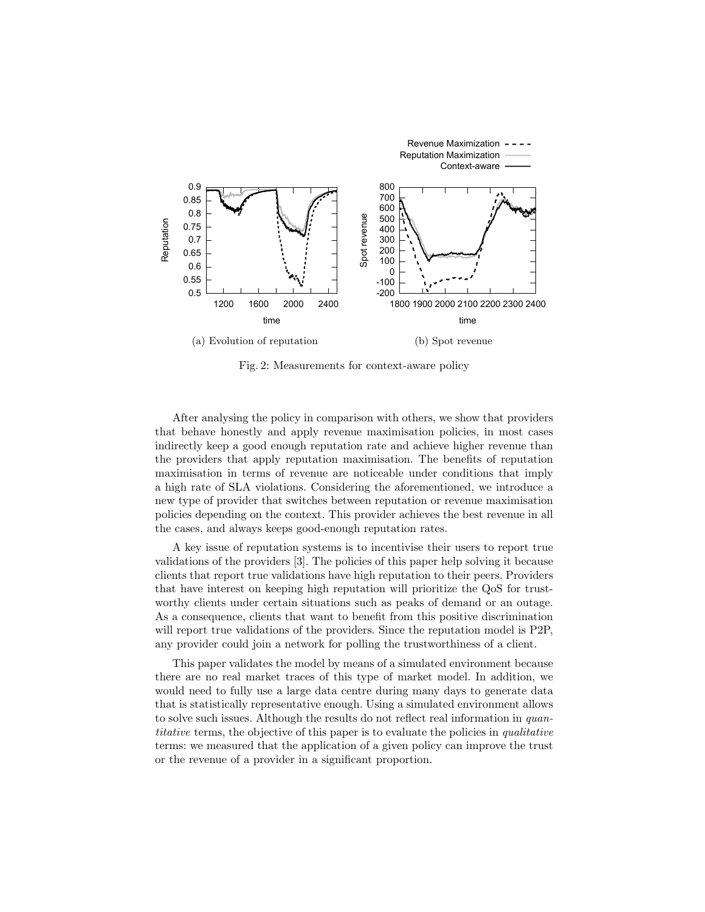

Fig. 2: Measurements for context-aware policy

After analysing the policy in comparison with others, we show that providers that behave honestly and apply revenue maximisation policies, in most cases indirectly keep a good enough reputation rate and achieve higher revenue than the providers that apply reputation maximisation. The benefits of reputation maximisation in terms of revenue are noticeable under conditions that imply a high rate of SLA violations. Considering the aforementioned, we introduce a new type of provider that switches between reputation or revenue maximisation policies depending on the context. This provider achieves the best revenue in all the cases, and always keeps good-enough reputation rates.

A key issue of reputation systems is to incentivise their users to report true validations of the providers [3]. The policies of this paper help solving it because clients that report true validations have high reputation to their peers. Providers that have interest on keeping high reputation will prioritize the QoS for trustworthy clients under certain situations such as peaks of demand or an outage. As a consequence, clients that want to benefit from this positive discrimination will report true validations of the providers. Since the reputation model is P2P, any provider could join a network for polling the trustworthiness of a client.

This paper validates the model by means of a simulated environment because there are no real market traces of this type of market model. In addition, we would need to fully use a large data centre during many days to generate data that is statistically representative enough. Using a simulated environment allows to solve such issues. Although the results do not reflect real information in quantitative terms, the objective of this paper is to evaluate the policies in *qualitative* terms: we measured that the application of a given policy can improve the trust or the revenue of a provider in a significant proportion.